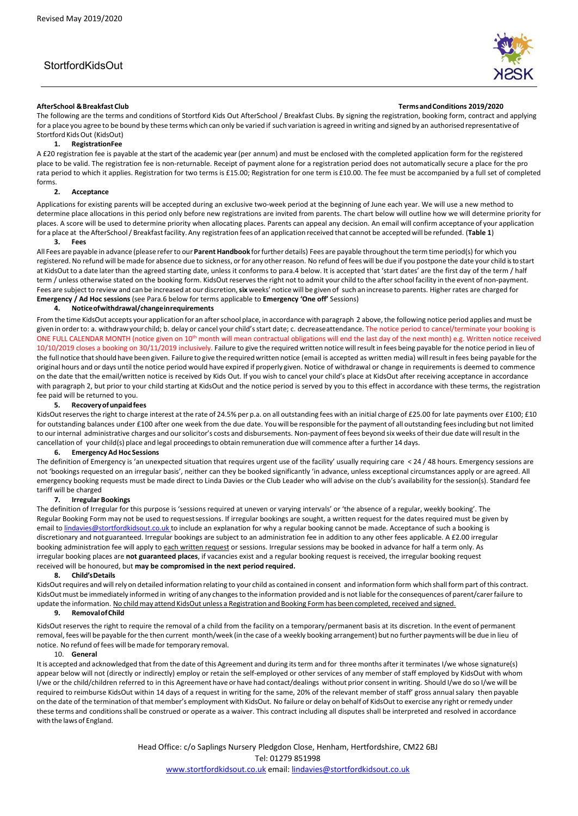# StortfordKidsOut



#### **AfterSchool &Breakfast Club TermsandConditions 2019/2020**

The following are the terms and conditions of Stortford Kids Out AfterSchool / Breakfast Clubs. By signing the registration, booking form, contract and applying for a place you agree to be bound by these terms which can only be varied if such variation is agreed in writing and signed by an authorised representative of Stortford KidsOut (KidsOut)

### **1. RegistrationFee**

A £20 registration fee is payable at the start of the academic year (per annum) and must be enclosed with the completed application form for the registered place to be valid. The registration fee is non-returnable. Receipt of payment alone for a registration period does not automatically secure a place for the pro rata period to which it applies. Registration for two terms is £15.00; Registration for one term is £10.00. The fee must be accompanied by a full set of completed forms.

#### **2. Acceptance**

Applications for existing parents will be accepted during an exclusive two-week period at the beginning of June each year. We will use a new method to determine place allocations in this period only before new registrations are invited from parents. The chart below will outline how we will determine priority for places. A score will be used to determine priority when allocating places. Parents can appeal any decision. An email will confirm acceptance of your application for a place at theAfterSchool/ Breakfastfacility. Any registration fees of an application received that cannot be accepted will be refunded. (**Table 1**)

# **3. Fees**

All Fees are payable in advance (please referto our **Parent Handbook** forfurther details) Fees are payable throughout the term time period(s) for which you registered. No refund will bemade for absence due to sickness, orfor any otherreason. No refund of fees will be due if you postpone the date your child is to start at KidsOut to a date later than the agreed starting date, unless it conforms to para.4 below. It is accepted that 'start dates' are the first day of the term / half term / unless otherwise stated on the booking form. KidsOut reservesthe right not to admit your child to the afterschool facility in the event of non-payment. Fees are subject to review and can be increased at our discretion,**six** weeks' notice will be given of such an increase to parents. Higher rates are charged for **Emergency / Ad Hoc sessions** (see Para.6 below for terms applicable to **Emergency 'One off'** Sessions)

#### **4. Noticeofwithdrawal/changeinrequirements**

From the time KidsOut accepts your application for an afterschool place, in accordance with paragraph 2 above, the following notice period applies and must be given in orderto: a. withdrawyourchild; b. delay or cancel your child'sstart date; c. decreaseattendance. The notice period to cancel/terminate your booking is ONE FULL CALENDAR MONTH (notice given on 10<sup>th</sup> month will mean contractual obligations will end the last day of the next month) e.g. Written notice received 10/10/2019 closes a booking on 30/11/2019 inclusively. Failure to give the required written notice willresult in fees being payable for the notice period in lieu of the full notice that should have been given. Failure to give the required written notice (email is accepted as written media) will result in fees being payable for the original hours and or days until the notice period would have expired if properly given. Notice of withdrawal or change in requirements is deemed to commence on the date that the email/written notice is received by Kids Out. If you wish to cancel your child's place at KidsOut after receiving acceptance in accordance with paragraph 2, but prior to your child starting at KidsOut and the notice period is served by you to this effect in accordance with these terms, the registration fee paid will be returned to you.

#### **5. Recoveryofunpaidfees**

KidsOut reserves the right to charge interest at the rate of 24.5% per p.a. on all outstanding fees with an initial charge of £25.00 for late payments over £100; £10 for outstanding balances under £100 after one week from the due date. You will be responsible forthe payment of all outstanding feesincluding but not limited to ourinternal administrative charges and oursolicitor's costs and disbursements. Non-payment of fees beyond six weeks of their due date willresult in the cancellation of your child(s) place and legal proceedingsto obtain remuneration due will commence after a further 14 days.

#### **6. Emergency Ad Hoc Sessions**

The definition of Emergency is 'an unexpected situation that requires urgent use of the facility' usually requiring care < 24 / 48 hours. Emergency sessions are not 'bookings requested on an irregular basis', neither can they be booked significantly 'in advance, unless exceptional circumstances apply or are agreed. All emergency booking requests must be made direct to Linda Davies or the Club Leader who will advise on the club's availability for the session(s). Standard fee tariff will be charged

#### **7. Irregular Bookings**

The definition of Irregular for this purpose is 'sessions required at uneven or varying intervals' or 'the absence of a regular, weekly booking'. The Regular Booking Form may not be used to requestsessions. If irregular bookings are sought, a written request for the dates required must be given by email t[o lindavies@stortfordkidsout.co.uk t](mailto:lindavies@stortfordkidsout.co.uk)o include an explanation for why a regular booking cannot be made. Acceptance of such a booking is discretionary and not guaranteed. Irregular bookings are subject to an administration fee in addition to any other fees applicable. A £2.00 irregular booking administration fee will apply to each written request or sessions. Irregular sessions may be booked in advance for half a term only. As irregular booking places are **not guaranteed places**, if vacancies exist and a regular booking request is received, the irregular booking request received will be honoured, but **may be compromised in the next period required.** 

#### **8. Child'sDetails**

KidsOut requires and will rely on detailed information relating to your child as contained in consent and information form which shall form part of this contract. KidsOut must be immediately informed in writing of any changes to the information provided and is not liable for the consequences of parent/carer failure to update the information. No child may attend KidsOut unless a Registration and Booking Form has been completed, received and signed.

### **9. RemovalofChild**

KidsOut reserves the right to require the removal of a child from the facility on a temporary/permanent basis at its discretion. In the event of permanent removal, fees will be payable forthe then current month/week (in the case of a weekly booking arrangement) but no further payments will be due in lieu of notice. No refund of fees will be made for temporary removal.

#### 10. **General**

It is accepted and acknowledged that from the date of this Agreement and during its term and for three months after it terminates I/we whose signature(s) appear below will not (directly or indirectly) employ or retain the self-employed or other services of any member of staff employed by KidsOut with whom I/we or the child/children referred to in this Agreement have or have had contact/dealings without prior consent in writing. Should I/we do so I/we will be required to reimburse KidsOut within 14 days of a request in writing for the same, 20% of the relevant member of staff' gross annualsalary then payable on the date of the termination of that member's employment with KidsOut. No failure or delay on behalf of KidsOut to exercise any right orremedy under these terms and conditionsshall be construed or operate as a waiver. This contract including all disputes shall be interpreted and resolved in accordance with the laws of England.